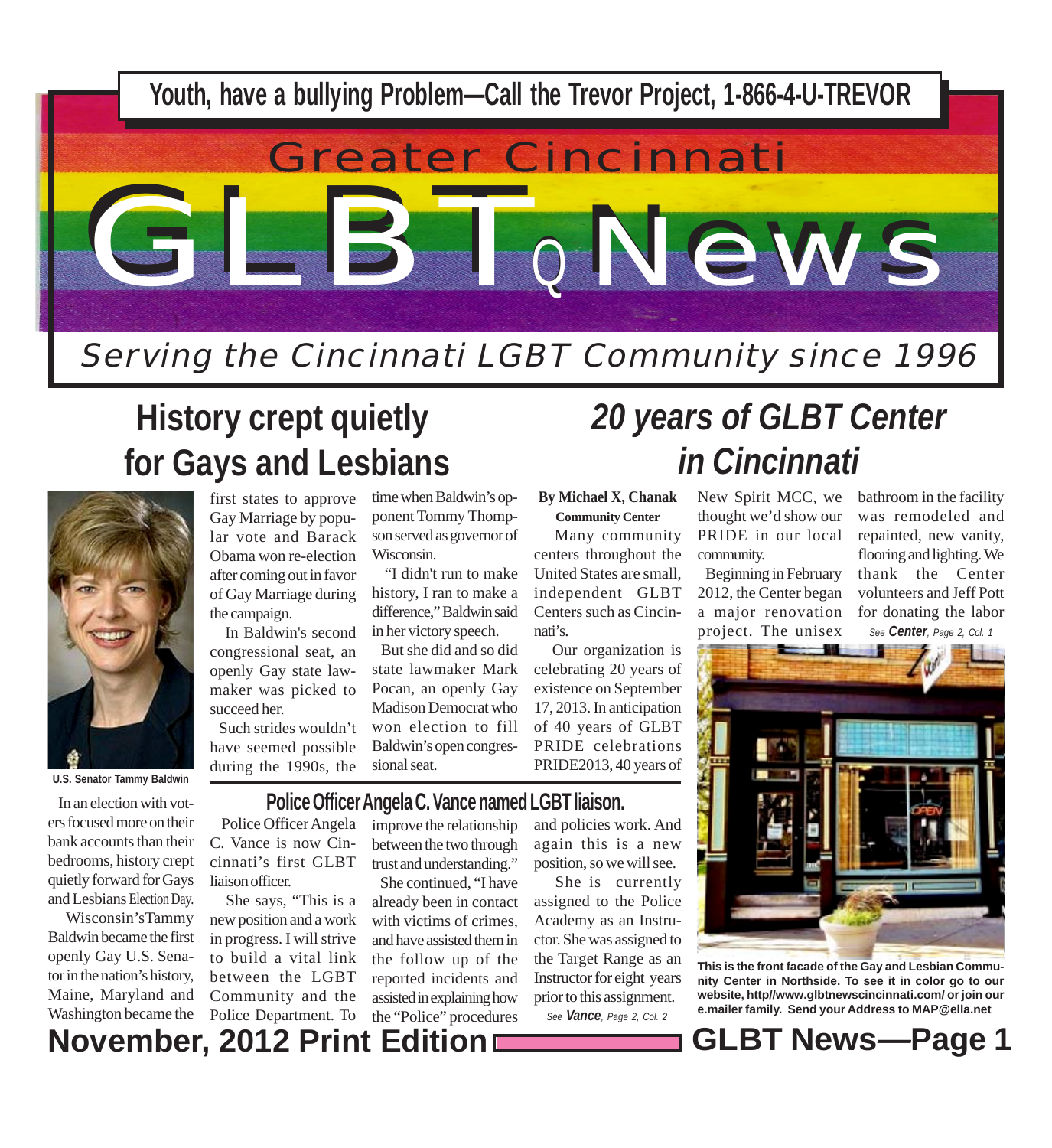

# **History crept quietly for Gays and Lesbians**



 In an election with voters focused more on their bank accounts than their bedrooms, history crept quietly forward for Gays and Lesbians Election Day. Wisconsin'sTammy Baldwin became the first openly Gay U.S. Senator in the nation's history, Maine, Maryland and

first states to approve Gay Marriage by popular vote and Barack Obama won re-election after coming out in favor of Gay Marriage during the campaign.

 In Baldwin's second congressional seat, an openly Gay state lawmaker was picked to succeed her.

 Such strides wouldn't have seemed possible during the 1990s, the

time when Baldwin's opponent Tommy Thompson served as governor of Wisconsin.

 "I didn't run to make history, I ran to make a difference," Baldwin said in her victory speech.

 But she did and so did state lawmaker Mark Pocan, an openly Gay Madison Democrat who won election to fill Baldwin's open congressional seat.

**By Michael X, Chanak**

**Community Center** Many community centers throughout the United States are small, independent GLBT Centers such as Cincinnati's.

 Our organization is celebrating 20 years of existence on September 17, 2013. In anticipation of 40 years of GLBT PRIDE celebrations PRIDE2013, 40 years of

#### **Police Officer Angela C. Vance named LGBT liaison.**

New Spirit MCC, we *in Cincinnati*

thought we'd show our PRIDE in our local community.

*20 years of GLBT Center*

 Beginning in February 2012, the Center began a major renovation project. The unisex

bathroom in the facility was remodeled and repainted, new vanity, flooring and lighting. We thank the Center volunteers and Jeff Pott for donating the labor *See Center, Page 2, Col. 1*

**Property** 

**This is the front facade of the Gay and Lesbian Community Center in Northside. To see it in color go to our website, http//www.glbtnewscincinnati.com/ or join our e.mailer family. Send your Address to MAP@ella.net**

**November, 2012 Print Edition GLBT News***—***Page 1** Washington became the

 Police Officer Angela C. Vance is now Cincinnati's first GLBT liaison officer.

 She says, "This is a new position and a work in progress. I will strive to build a vital link between the LGBT Community and the Police Department. To

improve the relationship between the two through trust and understanding." She continued, "I have already been in contact with victims of crimes, and have assisted them in the follow up of the reported incidents and assisted in explaining how the "Police" procedures

and policies work. And again this is a new position, so we will see.

 She is currently assigned to the Police Academy as an Instructor. She was assigned to the Target Range as an Instructor for eight years prior to this assignment.

*See Vance, Page 2, Col. 2*

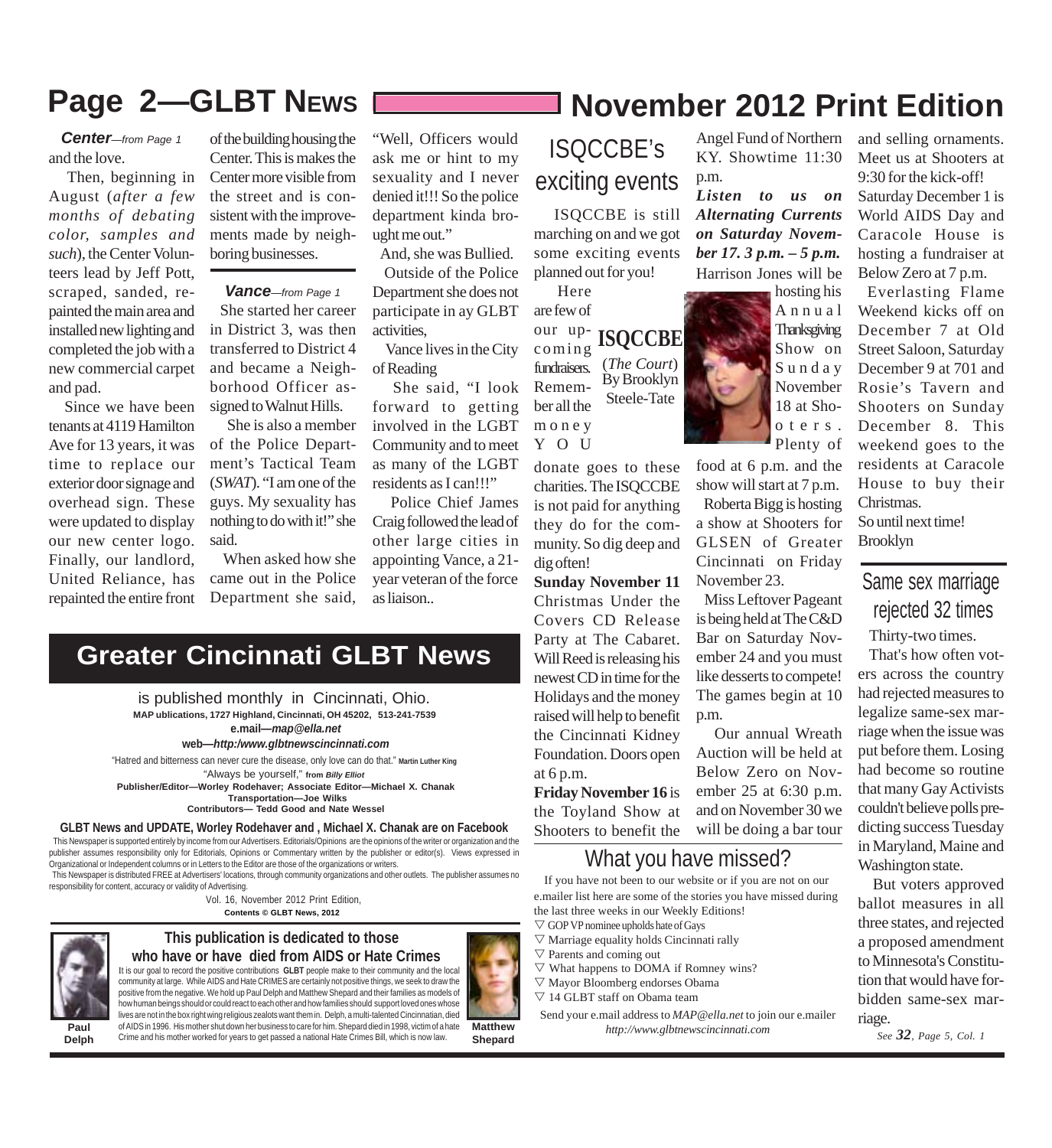### **Page 2—GLBT NEWS November 2012 Print Edition**

and the love. *Center—from Page 1*

 Then, beginning in August (*after a few months of debating color, samples and such*), the Center Volunteers lead by Jeff Pott, scraped, sanded, repainted the main area and installed new lighting and completed the job with a new commercial carpet and pad.

 Since we have been tenants at 4119 Hamilton Ave for 13 years, it was time to replace our exterior door signage and overhead sign. These were updated to display our new center logo. Finally, our landlord, United Reliance, has repainted the entire front

of the building housing the Center. This is makes the Center more visible from the street and is consistent with the improvements made by neighboring businesses.

*Vance—from Page 1*

 She started her career in District 3, was then transferred to District 4 and became a Neighborhood Officer assigned to Walnut Hills.

 She is also a member of the Police Department's Tactical Team (*SWAT*). "I am one of the guys. My sexuality has nothing to do with it!" she said.

 When asked how she came out in the Police Department she said,

**Greater Cincinnati GLBT News**

"Well, Officers would ask me or hint to my sexuality and I never denied it!!! So the police department kinda brought me out."

 And, she was Bullied. Outside of the Police Department she does not participate in ay GLBT activities,

 Vance lives in the City of Reading

 She said, "I look forward to getting involved in the LGBT Community and to meet as many of the LGBT residents as I can!!!"

 Police Chief James Craig followed the lead of other large cities in appointing Vance, a 21 year veteran of the force as liaison..

### ISQCCBE's exciting events

 ISQCCBE is still marching on and we got some exciting events planned out for you!

**ISQCCBE** (*The Court*) By Brooklyn Steele-Tate Here are few of our upcoming fundraisers. Remember all the money Y O U

donate goes to these charities. The ISQCCBE is not paid for anything they do for the community. So dig deep and dig often!

**Sunday November 11** Christmas Under the Covers CD Release Party at The Cabaret. Will Reed is releasing his newest CD in time for the Holidays and the money raised will help to benefit the Cincinnati Kidney Foundation. Doors open at 6 p.m. **Friday November 16** is the Toyland Show at

Shooters to benefit the

### What you have missed?

 If you have not been to our website or if you are not on our e.mailer list here are some of the stories you have missed during the last three weeks in our Weekly Editions!

- $\nabla$  GOP VP nominee upholds hate of Gays
- $\nabla$  Marriage equality holds Cincinnati rally
- $\nabla$  Parents and coming out
- $\nabla$  What happens to DOMA if Romney wins?
- $\nabla$  Mayor Bloomberg endorses Obama
- $\nabla$  14 GLBT staff on Obama team
- Send your e.mail address to *MAP@ella.net* to join our e.mailer *http://www.glbtnewscincinnati.com*

Angel Fund of Northern KY. Showtime 11:30 p.m.

*Listen to us on Alternating Currents on Saturday November 17. 3 p.m. – 5 p.m.* Harrison Jones will be hosting his

Annual

**Thanksgiving** Show on Sunday November 18 at Shooters. Plenty of food at 6 p.m. and the show will start at 7 p.m. Roberta Bigg is hosting

a show at Shooters for GLSEN of Greater Cincinnati on Friday November 23.

 Miss Leftover Pageant is being held at The C&D Bar on Saturday November 24 and you must like desserts to compete! The games begin at 10 p.m.

 Our annual Wreath Auction will be held at Below Zero on November 25 at 6:30 p.m. and on November 30 we will be doing a bar tour

and selling ornaments. Meet us at Shooters at 9:30 for the kick-off! Saturday December 1 is World AIDS Day and Caracole House is hosting a fundraiser at

Below Zero at 7 p.m. Everlasting Flame Weekend kicks off on December 7 at Old Street Saloon, Saturday December 9 at 701 and Rosie's Tavern and Shooters on Sunday December 8. This weekend goes to the residents at Caracole House to buy their Christmas. So until next time! Brooklyn

Same sex marriage rejected 32 times

Thirty-two times.

 That's how often voters across the country had rejected measures to legalize same-sex marriage when the issue was put before them. Losing had become so routine that many Gay Activists couldn't believe polls predicting success Tuesday in Maryland, Maine and Washington state.

 But voters approved ballot measures in all three states, and rejected a proposed amendment to Minnesota's Constitution that would have forbidden same-sex marriage.

*See 32, Page 5, Col. 1*

 This Newspaper is supported entirely by income from our Advertisers. Editorials/Opinions are the opinions of the writer or organization and the publisher assumes responsibility only for Editorials, Opinions or Commentary written by the publisher or editor(s). Views expressed in Organizational or Independent columns or in Letters to the Editor are those of the organizations or writers.

**GLBT News and UPDATE, Worley Rodehaver and , Michael X. Chanak are on Facebook**

"Always be yourself," **from** *Billy Elliot*

"Hatred and bitterness can never cure the disease, only love can do that." **Martin Luther King**

**MAP ublications, 1727 Highland, Cincinnati, OH 45202, 513-241-7539**

**e.mail***—map@ella.net* **web***—http:/www.glbtnewscincinnati.com*

is published monthly in Cincinnati, Ohio.

**Publisher/Editor—Worley Rodehaver; Associate Editor—Michael X. Chanak Transportation—Joe Wilks Contributors— Tedd Good and Nate Wessel**

 This Newspaper is distributed FREE at Advertisers' locations, through community organizations and other outlets. The publisher assumes no responsibility for content, accuracy or validity of Advertising.

**Contents © GLBT News, 2012** Vol. 16, November 2012 Print Edition,



**Paul Delph**

#### **This publication is dedicated to those who have or have died from AIDS or Hate Crimes**

It is our goal to record the positive contributions **GLBT** people make to their community and the local community at large. While AIDS and Hate CRIMES are certainly not positive things, we seek to draw the positive from the negative. We hold up Paul Delph and Matthew Shepard and their families as models of how human beings should or could react to each other and how families should support loved ones whose lives are not in the box right wing religious zealots want them in. Delph, a multi-talented Cincinnatian, died

of AIDS in 1996. His mother shut down her business to care for him. Shepard died in 1998, victim of a hate Crime and his mother worked for years to get passed a national Hate Crimes Bill, which is now law.

**Matthew Shepard**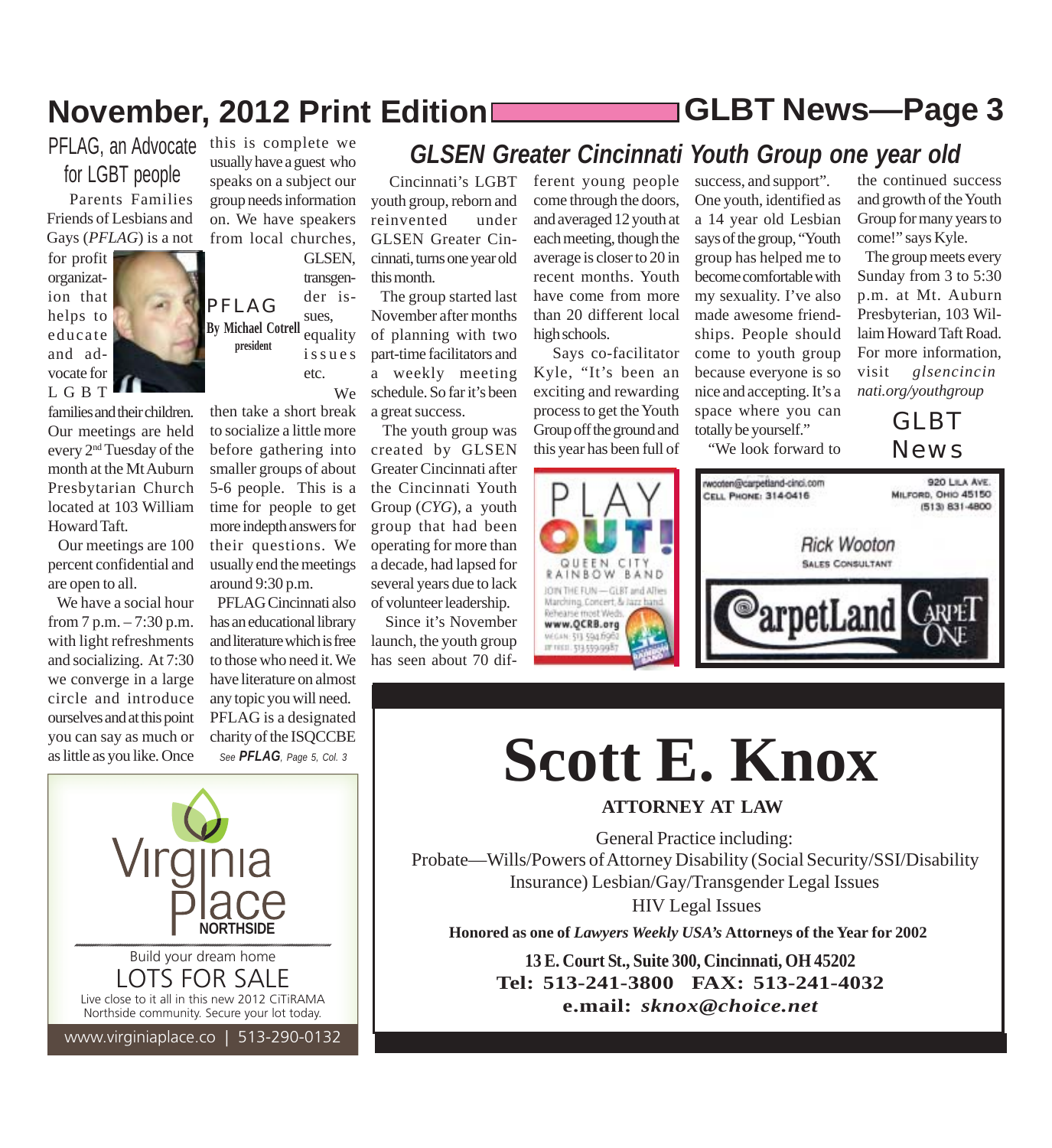## **November, 2012 Print Edition GLBT News***—***Page 3**

### PFLAG, an Advocate this is complete we for LGBT people

 Parents Families Friends of Lesbians and Gays (*PFLAG*) is a not

families and their children. Our meetings are held every 2nd Tuesday of the month at the Mt Auburn Presbytarian Church located at 103 William

 Our meetings are 100 percent confidential and

 We have a social hour from  $7 p.m. - 7:30 p.m.$ with light refreshments and socializing. At 7:30 we converge in a large circle and introduce ourselves and at this point you can say as much or as little as you like. Once

for profit organization that helps to educate and advocate for LGBT

Howard Taft.

are open to all.



usually have a guest who speaks on a subject our group needs information on. We have speakers from local churches, GLSEN,

PFLAG **By Michael Cotrell president** transgender issues, equality issues etc. We

then take a short break to socialize a little more before gathering into smaller groups of about 5-6 people. This is a time for people to get more indepth answers for their questions. We usually end the meetings around 9:30 p.m.

 PFLAG Cincinnati also has an educational library and literature which is free to those who need it. We have literature on almost any topic you will need. PFLAG is a designated charity of the ISQCCBE *See PFLAG, Page 5, Col. 3*

 Cincinnati's LGBT youth group, reborn and reinvented under GLSEN Greater Cincinnati, turns one year old this month.

 The group started last November after months of planning with two part-time facilitators and a weekly meeting schedule. So far it's been a great success.

 The youth group was created by GLSEN Greater Cincinnati after the Cincinnati Youth Group (*CYG*), a youth group that had been operating for more than a decade, had lapsed for several years due to lack of volunteer leadership.

 Since it's November launch, the youth group has seen about 70 different young people come through the doors, and averaged 12 youth at each meeting, though the average is closer to 20 in recent months. Youth have come from more than 20 different local high schools.

*GLSEN Greater Cincinnati Youth Group one year old*

 Says co-facilitator Kyle, "It's been an exciting and rewarding process to get the Youth Group off the ground and this year has been full of



success, and support". One youth, identified as a 14 year old Lesbian says of the group, "Youth group has helped me to become comfortable with my sexuality. I've also made awesome friendships. People should come to youth group because everyone is so nice and accepting. It's a space where you can totally be yourself."

"We look forward to

the continued success and growth of the Youth Group for many years to come!" says Kyle.

 The group meets every Sunday from 3 to 5:30 p.m. at Mt. Auburn Presbyterian, 103 Willaim Howard Taft Road. For more information, visit *glsencincinnati.org/youthgroup*

> GLBT News



# **Scott E. Knox**

**ATTORNEY AT LAW**

General Practice including: Probate—Wills/Powers of Attorney Disability (Social Security/SSI/Disability Insurance) Lesbian/Gay/Transgender Legal Issues HIV Legal Issues

**Honored as one of** *Lawyers Weekly USA's* **Attorneys of the Year for 2002**

**13 E. Court St., Suite 300, Cincinnati, OH 45202 Tel: 513-241-3800 FAX: 513-241-4032 e.mail:** *sknox@choice.net*

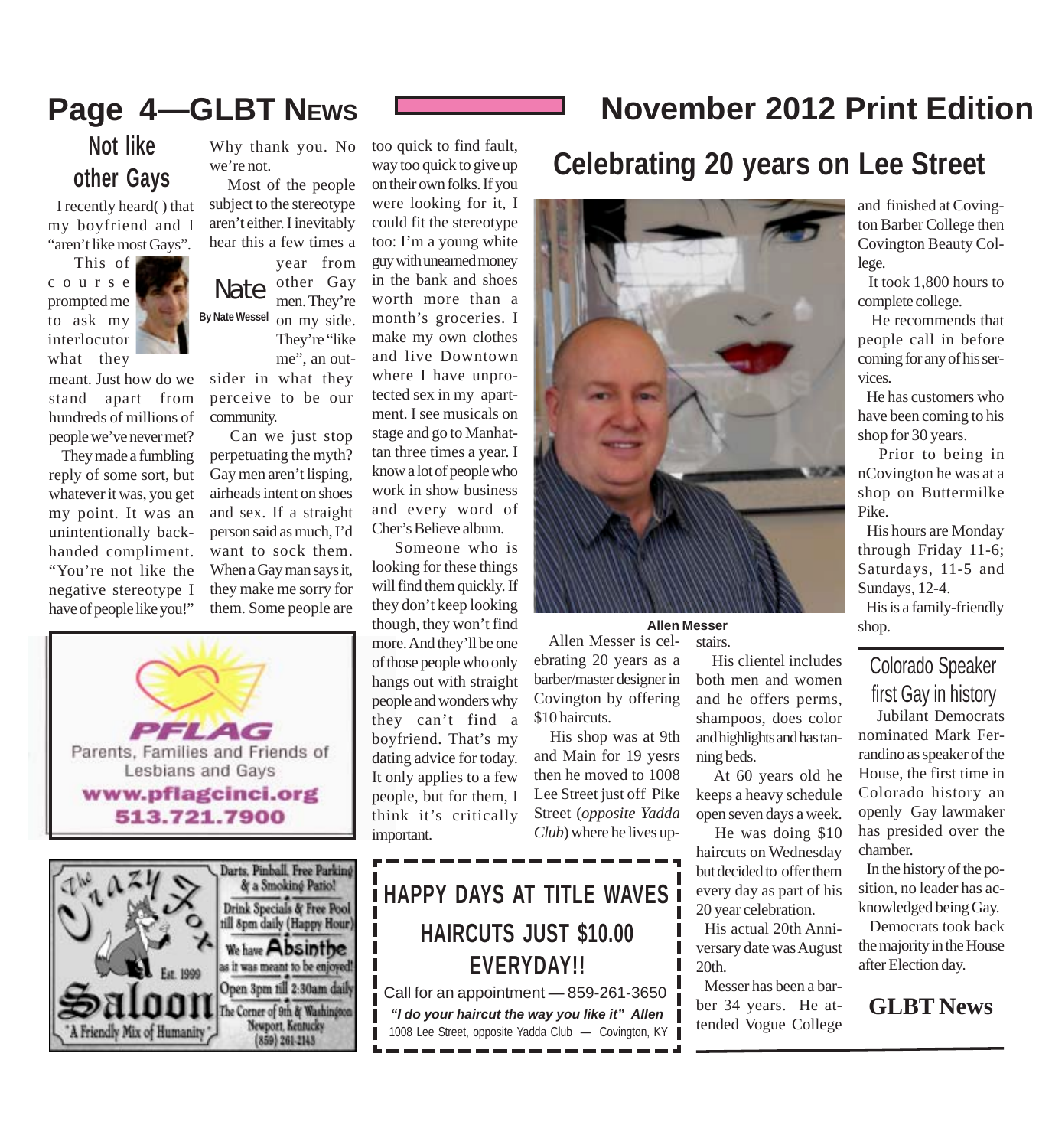### **Page 4—GLBT NEWS November 2012 Print Edition**

### **Not like other Gays**

 I recently heard( ) that my boyfriend and I "aren't like most Gays".

 This of course prompted me to ask my interlocutor what they



meant. Just how do we stand apart from hundreds of millions of

people we've never met? They made a fumbling reply of some sort, but whatever it was, you get my point. It was an unintentionally backhanded compliment. "You're not like the negative stereotype I have of people like you!"





Why thank you. No we're not.

 Most of the people subject to the stereotype aren't either. I inevitably hear this a few times a

Nate **By Nate Wessel** year from other Gay men. They're on my side. They're "like me", an out-

sider in what they perceive to be our community.

 Can we just stop perpetuating the myth? Gay men aren't lisping, airheads intent on shoes and sex. If a straight person said as much, I'd want to sock them. When a Gay man says it, they make me sorry for them. Some people are too quick to find fault, way too quick to give up on their own folks. If you were looking for it, I could fit the stereotype too: I'm a young white guy with unearned money in the bank and shoes worth more than a month's groceries. I make my own clothes and live Downtown where I have unprotected sex in my apartment. I see musicals on stage and go to Manhattan three times a year. I know a lot of people who work in show business and every word of Cher's Believe album. Someone who is

looking for these things will find them quickly. If they don't keep looking though, they won't find more. And they'll be one of those people who only hangs out with straight people and wonders why they can't find a boyfriend. That's my dating advice for today. It only applies to a few people, but for them, I think it's critically important.

### **i** HAPPY DAYS AT TITLE WAVES **i HAIRCUTS JUST \$10.00 EVERYDAY!!**

Call for an appointment — 859-261-3650 *"I do your haircut the way you like it" Allen* 1008 Lee Street, opposite Yadda Club — Covington, KY

### **Celebrating 20 years on Lee Street**



**Allen Messer**

 Allen Messer is celebrating 20 years as a barber/master designer in Covington by offering \$10 haircuts.

 His shop was at 9th and Main for 19 yesrs then he moved to 1008 Lee Street just off Pike Street (*opposite Yadda Club*) where he lives up-

#### stairs. His clientel includes both men and women and he offers perms, shampoos, does color and highlights and has tanning beds.

 At 60 years old he keeps a heavy schedule open seven days a week.

 He was doing \$10 haircuts on Wednesday but decided to offer them every day as part of his 20 year celebration.

 His actual 20th Anniversary date was August 20th.

 Messer has been a barber 34 years. He attended Vogue College

and finished at Covington Barber College then Covington Beauty College.

 It took 1,800 hours to complete college.

 He recommends that people call in before coming for any of his services.

 He has customers who have been coming to his shop for 30 years.

 Prior to being in nCovington he was at a shop on Buttermilke Pike.

 His hours are Monday through Friday 11-6; Saturdays, 11-5 and Sundays, 12-4.

 His is a family-friendly shop.

### Colorado Speaker first Gay in history

 Jubilant Democrats nominated Mark Ferrandino as speaker of the House, the first time in Colorado history an openly Gay lawmaker has presided over the chamber.

 In the history of the position, no leader has acknowledged being Gay.

 Democrats took back the majority in the House after Election day.

#### **GLBT News**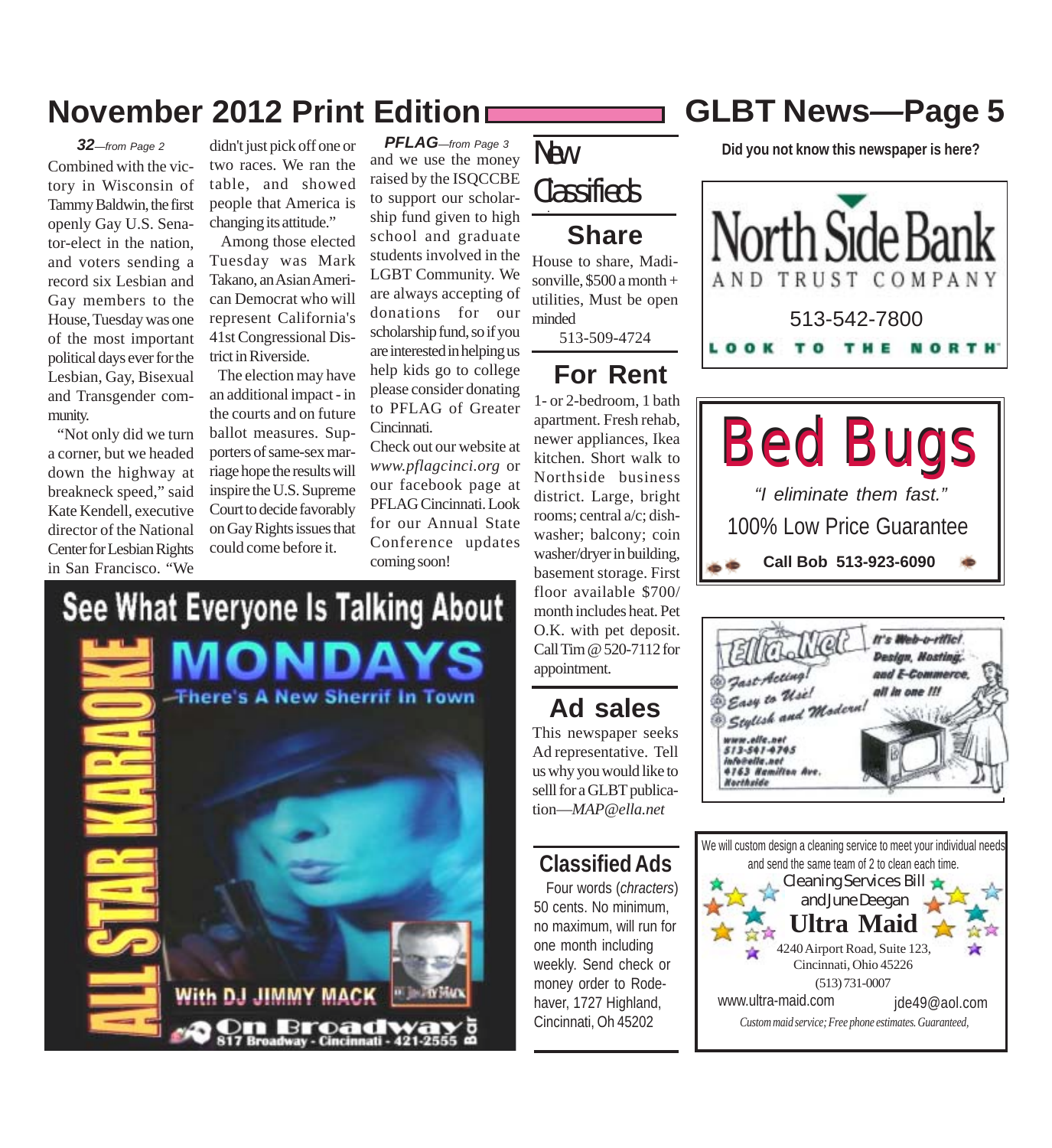### **November 2012 Print Edition GLBT News***—***Page 5**

Combined with the victory in Wisconsin of Tammy Baldwin, the first openly Gay U.S. Senator-elect in the nation, and voters sending a record six Lesbian and Gay members to the House, Tuesday was one of the most important political days ever for the Lesbian, Gay, Bisexual and Transgender community. *32—from Page 2*

 "Not only did we turn a corner, but we headed down the highway at breakneck speed," said Kate Kendell, executive director of the National Center for Lesbian Rights in San Francisco. "We

didn't just pick off one or two races. We ran the table, and showed people that America is changing its attitude."

 Among those elected Tuesday was Mark Takano, an Asian American Democrat who will represent California's 41st Congressional District in Riverside.

 The election may have an additional impact - in the courts and on future ballot measures. Supporters of same-sex marriage hope the results will inspire the U.S. Supreme Court to decide favorably on Gay Rights issues that could come before it.

See What Everyone Is Talking About

**There's A New Sherrif In Town** 

and we use the money raised by the ISQCCBE to support our scholarship fund given to high school and graduate students involved in the LGBT Community. We are always accepting of donations for our scholarship fund, so if you are interested in helping us help kids go to college please consider donating to PFLAG of Greater Cincinnati. *PFLAG—from Page 3*

Check out our website at *www.pflagcinci.org* or our facebook page at PFLAG Cincinnati. Look for our Annual State Conference updates coming soon!

New

#### . **Classifieds**

#### **Share**

House to share, Madisonville,  $$500 a month +$ utilities, Must be open minded

513-509-4724

### **For Rent**

1- or 2-bedroom, 1 bath apartment. Fresh rehab, newer appliances, Ikea kitchen. Short walk to Northside business district. Large, bright rooms; central a/c; dishwasher; balcony; coin washer/dryer in building, basement storage. First floor available \$700/ month includes heat. Pet O.K. with pet deposit. Call Tim @ 520-7112 for appointment.

### **Ad sales**

This newspaper seeks Ad representative. Tell us why you would like to selll for a GLBT publication—*MAP@ella.net*

### **Classified Ads**

 Four words (*chracters*) 50 cents. No minimum, no maximum, will run for one month including weekly. Send check or money order to Rodehaver, 1727 Highland, Cincinnati, Oh 45202

**Did you not know this newspaper is here?**







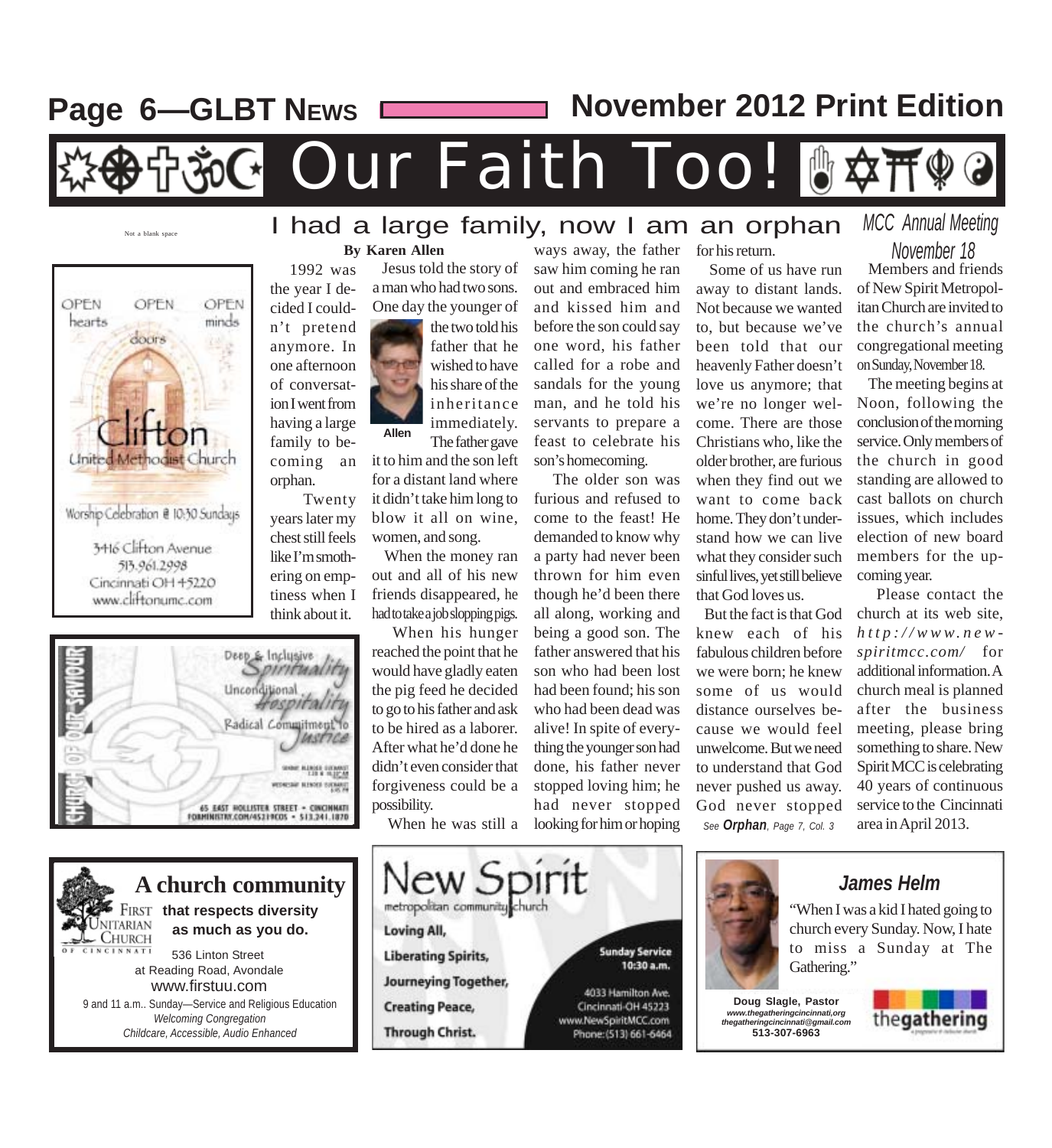Page 6-GLBT NEws

**November 2012 Print Edition**

#### Our Faith Too!  $\mathbb{P}$  $\mathsf{C}\star$

### Not a blank space I had a large family, now I am an orphan





#### 65 EAST HOLLISTER STREET . CINCINNATI<br>FORMINISTIN:COM/45219COS - 513.241.1870



#### **By Karen Allen**

n't pretend anymore. In one afternoon of conversation I went from having a large family to becoming an

orphan.

 Twenty years later my chest still feels like I'm smoth-

 1992 was the year I decided I could- Jesus told the story of a man who had two sons. One day the younger of

**Allen** the two told his father that he wished to have his share of the inheritance immediately. The father gave

it to him and the son left for a distant land where it didn't take him long to blow it all on wine, women, and song.

 When the money ran out and all of his new friends disappeared, he had to take a job slopping pigs.

 When his hunger reached the point that he would have gladly eaten the pig feed he decided to go to his father and ask to be hired as a laborer. After what he'd done he didn't even consider that forgiveness could be a possibility.

When he was still a

metropolitan community church

Loving All,

**Liberating Spirits,** 

**Creating Peace,** 

**Through Christ.** 

**Journeying Together,** 

ew Spirit

saw him coming he ran out and embraced him and kissed him and before the son could say one word, his father called for a robe and sandals for the young man, and he told his servants to prepare a feast to celebrate his son's homecoming.

ways away, the father

 The older son was furious and refused to come to the feast! He demanded to know why a party had never been thrown for him even though he'd been there all along, working and being a good son. The father answered that his son who had been lost had been found; his son who had been dead was alive! In spite of everything the younger son had done, his father never stopped loving him; he had never stopped looking for him or hoping

www.NewSpiritMCC.com

Phone: (513) 661-6464

#### for his return.

 Some of us have run away to distant lands. Not because we wanted to, but because we've been told that our heavenly Father doesn't love us anymore; that we're no longer welcome. There are those Christians who, like the older brother, are furious when they find out we want to come back home. They don't understand how we can live what they consider such sinful lives, yet still believe that God loves us.

 But the fact is that God knew each of his fabulous children before we were born; he knew some of us would distance ourselves because we would feel unwelcome. But we need to understand that God never pushed us away. God never stopped *See Orphan, Page 7, Col. 3*

*MCC Annual Meeting*

 Members and friends of New Spirit Metropolitan Church are invited to the church's annual congregational meeting on Sunday, November 18.  *November 18*

 The meeting begins at Noon, following the conclusion of the morning service. Only members of the church in good standing are allowed to cast ballots on church issues, which includes election of new board members for the upcoming year.

 Please contact the church at its web site, *http://www.newspiritmcc.com/* for additional information. A church meal is planned after the business meeting, please bring something to share. New Spirit MCC is celebrating 40 years of continuous service to the Cincinnati area in April 2013.



*James Helm*

"When I was a kid I hated going to church every Sunday. Now, I hate to miss a Sunday at The Gathering."

**Doug Slagle, Pastor** *www.thegatheringcincinnati,org thegatheringcincinnati@gmail.com* **513-307-6963**

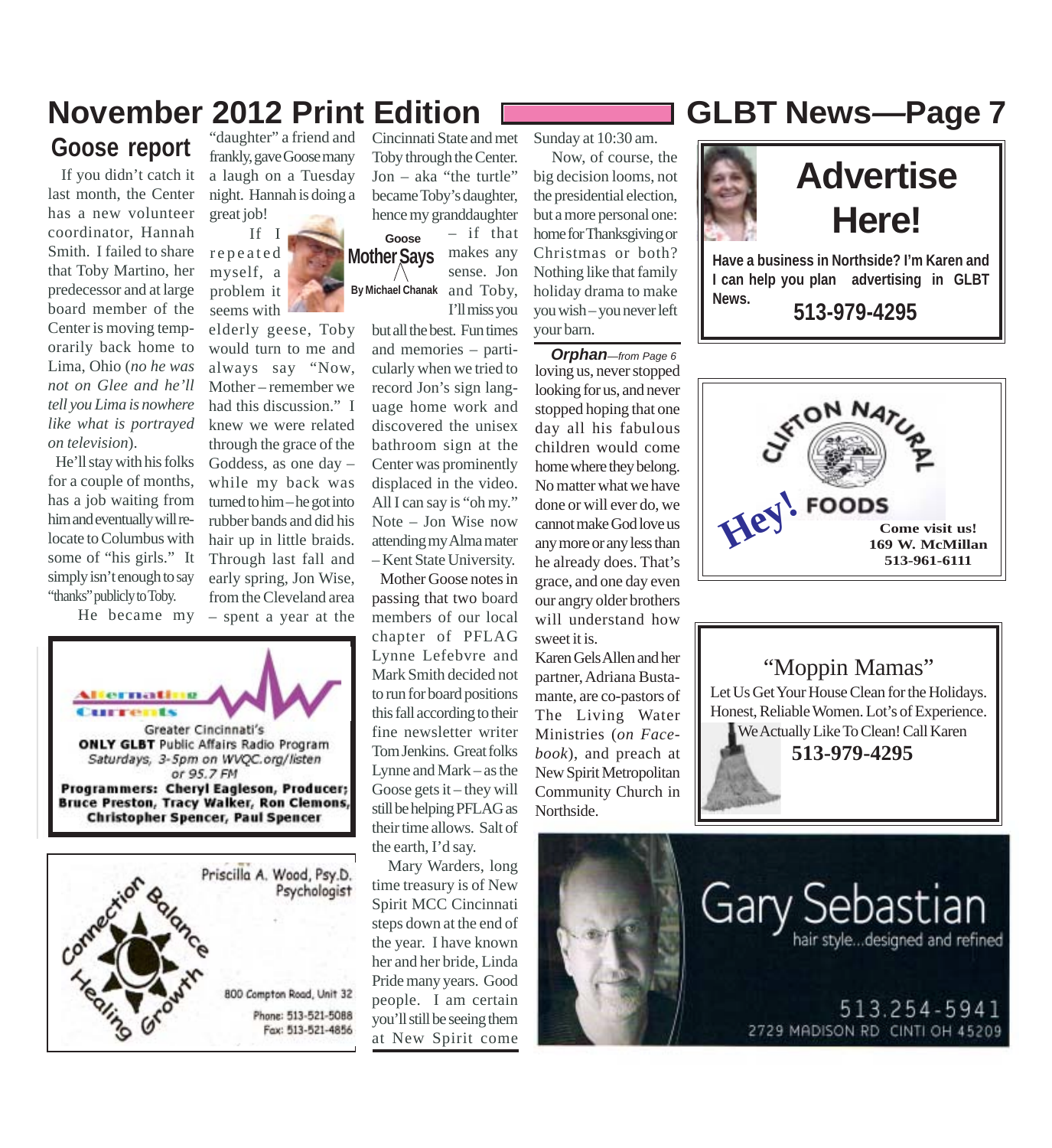# **November 2012 Print Edition GLBT News***—***Page 7**

**Goose report**

 If you didn't catch it last month, the Center has a new volunteer coordinator, Hannah Smith. I failed to share that Toby Martino, her predecessor and at large board member of the Center is moving temporarily back home to Lima, Ohio (*no he was not on Glee and he'll tell you Lima is nowhere like what is portrayed on television*).

 He'll stay with his folks for a couple of months, has a job waiting from him and eventually will relocate to Columbus with some of "his girls." It simply isn't enough to say "thanks" publicly to Toby.

He became my

Greater Cincinnati's **ONLY GLBT** Public Affairs Radio Program Saturdays, 3-5pm on WVQC.org/listen or 95.7 FM Programmers: Cheryl Eagleson, Producer; **Bruce Preston, Tracy Walker, Ron Clemons, Christopher Spencer, Paul Spencer** 



"daughter" a friend and frankly, gave Goose many a laugh on a Tuesday night. Hannah is doing a great job!

 If I repeated myself, a problem it seems with

elderly geese, Toby would turn to me and always say "Now, Mother – remember we had this discussion." I knew we were related through the grace of the Goddess, as one day – while my back was turned to him – he got into rubber bands and did his hair up in little braids. Through last fall and early spring, Jon Wise, from the Cleveland area – spent a year at the

**Mother Says By Michael Chanak Goose** Cincinnati State and met Toby through the Center. Jon – aka "the turtle" became Toby's daughter, hence my granddaughter – if that makes any sense. Jon and Toby,

> but all the best. Fun times and memories – particularly when we tried to record Jon's sign language home work and discovered the unisex bathroom sign at the Center was prominently displaced in the video. All I can say is "oh my." Note – Jon Wise now attending my Alma mater – Kent State University.

I'll miss you

 Mother Goose notes in passing that two board members of our local chapter of PFLAG Lynne Lefebvre and Mark Smith decided not to run for board positions this fall according to their fine newsletter writer Tom Jenkins. Great folks Lynne and Mark – as the Goose gets it – they will still be helping PFLAG as their time allows. Salt of the earth, I'd say.

 Mary Warders, long time treasury is of New Spirit MCC Cincinnati steps down at the end of the year. I have known her and her bride, Linda Pride many years. Good people. I am certain you'll still be seeing them at New Spirit come

Sunday at 10:30 am.

 Now, of course, the big decision looms, not the presidential election, but a more personal one: home for Thanksgiving or Christmas or both? Nothing like that family holiday drama to make you wish – you never left your barn.

loving us, never stopped looking for us, and never stopped hoping that one day all his fabulous children would come home where they belong. No matter what we have done or will ever do, we cannot make God love us any more or any less than he already does. That's grace, and one day even our angry older brothers will understand how sweet it is. *Orphan—from Page 6*

Karen Gels Allen and her partner, Adriana Bustamante, are co-pastors of The Living Water Ministries (*on Facebook*), and preach at New Spirit Metropolitan Community Church in Northside.







#### "Moppin Mamas"

Let Us Get Your House Clean for the Holidays. Honest, Reliable Women. Lot's of Experience.

We Actually Like To Clean! Call Karen **513-979-4295**



2729 MADISON RD CINTI OH 45209